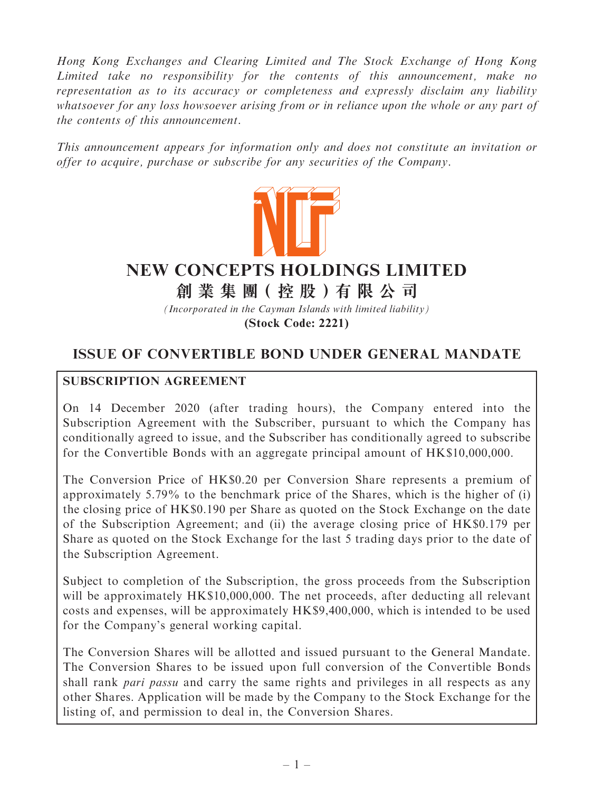Hong Kong Exchanges and Clearing Limited and The Stock Exchange of Hong Kong Limited take no responsibility for the contents of this announcement, make no representation as to its accuracy or completeness and expressly disclaim any liability whatsoever for any loss howsoever arising from or in reliance upon the whole or any part of the contents of this announcement.

This announcement appears for information only and does not constitute an invitation or offer to acquire, purchase or subscribe for any securities of the Company.



# **NEW CONCEPTS HOLDINGS LIMITED**

**創 業 集 團( 控 股 )有 限 公 司**

*(Incorporated in the Cayman Islands with limited liability)*

**(Stock Code: 2221)**

# ISSUE OF CONVERTIBLE BOND UNDER GENERAL MANDATE

## SUBSCRIPTION AGREEMENT

On 14 December 2020 (after trading hours), the Company entered into the Subscription Agreement with the Subscriber, pursuant to which the Company has conditionally agreed to issue, and the Subscriber has conditionally agreed to subscribe for the Convertible Bonds with an aggregate principal amount of HK\$10,000,000.

The Conversion Price of HK\$0.20 per Conversion Share represents a premium of approximately 5.79% to the benchmark price of the Shares, which is the higher of (i) the closing price of HK\$0.190 per Share as quoted on the Stock Exchange on the date of the Subscription Agreement; and (ii) the average closing price of HK\$0.179 per Share as quoted on the Stock Exchange for the last 5 trading days prior to the date of the Subscription Agreement.

Subject to completion of the Subscription, the gross proceeds from the Subscription will be approximately HK\$10,000,000. The net proceeds, after deducting all relevant costs and expenses, will be approximately HK\$9,400,000, which is intended to be used for the Company's general working capital.

The Conversion Shares will be allotted and issued pursuant to the General Mandate. The Conversion Shares to be issued upon full conversion of the Convertible Bonds shall rank *pari passu* and carry the same rights and privileges in all respects as any other Shares. Application will be made by the Company to the Stock Exchange for the listing of, and permission to deal in, the Conversion Shares.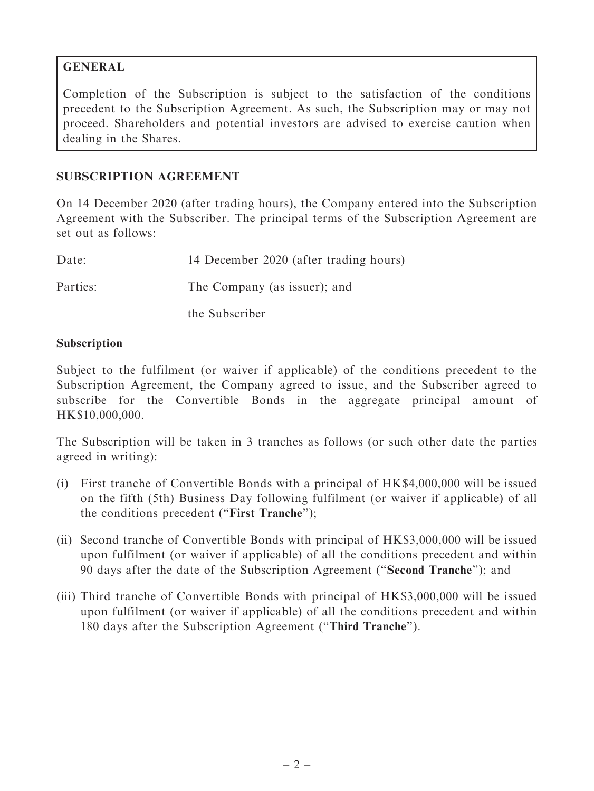# GENERAL

Completion of the Subscription is subject to the satisfaction of the conditions precedent to the Subscription Agreement. As such, the Subscription may or may not proceed. Shareholders and potential investors are advised to exercise caution when dealing in the Shares.

# SUBSCRIPTION AGREEMENT

On 14 December 2020 (after trading hours), the Company entered into the Subscription Agreement with the Subscriber. The principal terms of the Subscription Agreement are set out as follows:

| Date:    | 14 December 2020 (after trading hours) |
|----------|----------------------------------------|
| Parties: | The Company (as issuer); and           |
|          | the Subscriber                         |

#### Subscription

Subject to the fulfilment (or waiver if applicable) of the conditions precedent to the Subscription Agreement, the Company agreed to issue, and the Subscriber agreed to subscribe for the Convertible Bonds in the aggregate principal amount of HK\$10,000,000.

The Subscription will be taken in 3 tranches as follows (or such other date the parties agreed in writing):

- (i) First tranche of Convertible Bonds with a principal of HK\$4,000,000 will be issued on the fifth (5th) Business Day following fulfilment (or waiver if applicable) of all the conditions precedent (''First Tranche'');
- (ii) Second tranche of Convertible Bonds with principal of HK\$3,000,000 will be issued upon fulfilment (or waiver if applicable) of all the conditions precedent and within 90 days after the date of the Subscription Agreement (''Second Tranche''); and
- (iii) Third tranche of Convertible Bonds with principal of HK\$3,000,000 will be issued upon fulfilment (or waiver if applicable) of all the conditions precedent and within 180 days after the Subscription Agreement (''Third Tranche'').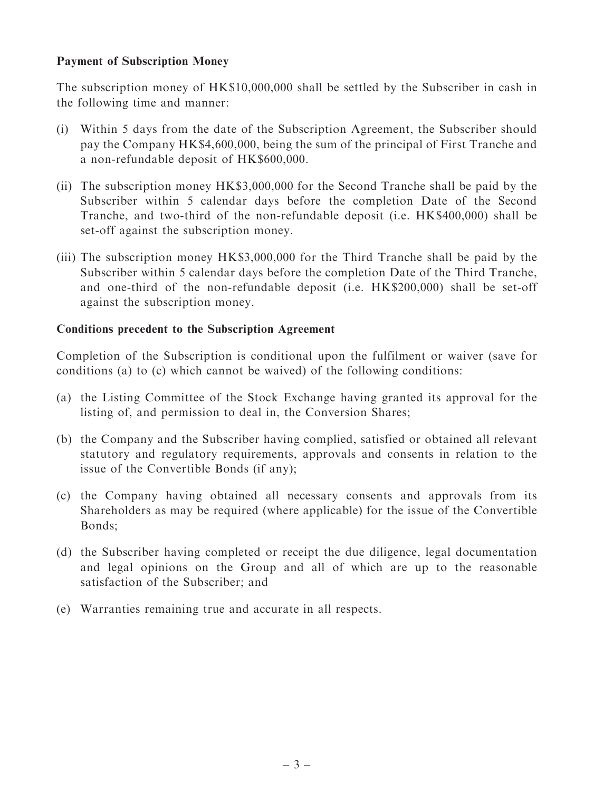#### Payment of Subscription Money

The subscription money of HK\$10,000,000 shall be settled by the Subscriber in cash in the following time and manner:

- (i) Within 5 days from the date of the Subscription Agreement, the Subscriber should pay the Company HK\$4,600,000, being the sum of the principal of First Tranche and a non-refundable deposit of HK\$600,000.
- (ii) The subscription money HK\$3,000,000 for the Second Tranche shall be paid by the Subscriber within 5 calendar days before the completion Date of the Second Tranche, and two-third of the non-refundable deposit (i.e. HK\$400,000) shall be set-off against the subscription money.
- (iii) The subscription money HK\$3,000,000 for the Third Tranche shall be paid by the Subscriber within 5 calendar days before the completion Date of the Third Tranche, and one-third of the non-refundable deposit (i.e. HK\$200,000) shall be set-off against the subscription money.

#### Conditions precedent to the Subscription Agreement

Completion of the Subscription is conditional upon the fulfilment or waiver (save for conditions (a) to (c) which cannot be waived) of the following conditions:

- (a) the Listing Committee of the Stock Exchange having granted its approval for the listing of, and permission to deal in, the Conversion Shares;
- (b) the Company and the Subscriber having complied, satisfied or obtained all relevant statutory and regulatory requirements, approvals and consents in relation to the issue of the Convertible Bonds (if any);
- (c) the Company having obtained all necessary consents and approvals from its Shareholders as may be required (where applicable) for the issue of the Convertible Bonds;
- (d) the Subscriber having completed or receipt the due diligence, legal documentation and legal opinions on the Group and all of which are up to the reasonable satisfaction of the Subscriber; and
- (e) Warranties remaining true and accurate in all respects.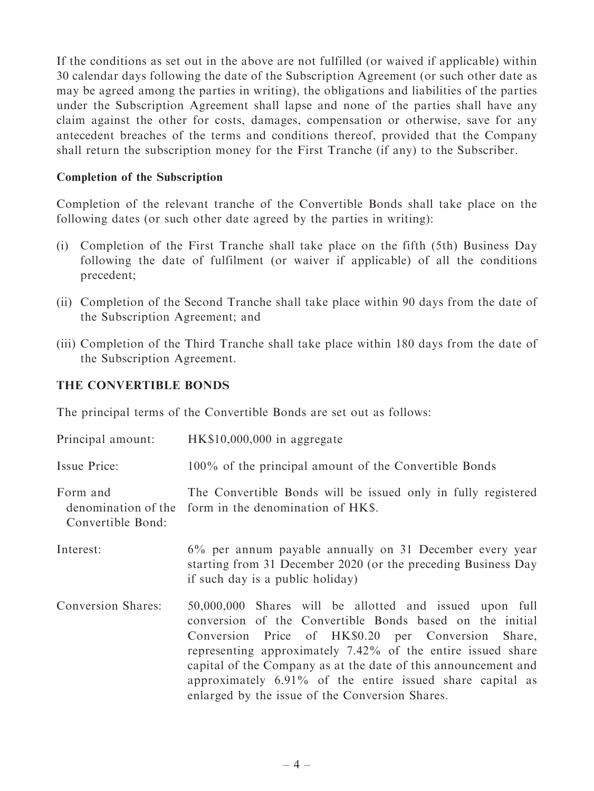If the conditions as set out in the above are not fulfilled (or waived if applicable) within 30 calendar days following the date of the Subscription Agreement (or such other date as may be agreed among the parties in writing), the obligations and liabilities of the parties under the Subscription Agreement shall lapse and none of the parties shall have any claim against the other for costs, damages, compensation or otherwise, save for any antecedent breaches of the terms and conditions thereof, provided that the Company shall return the subscription money for the First Tranche (if any) to the Subscriber.

#### Completion of the Subscription

Completion of the relevant tranche of the Convertible Bonds shall take place on the following dates (or such other date agreed by the parties in writing):

- (i) Completion of the First Tranche shall take place on the fifth (5th) Business Day following the date of fulfilment (or waiver if applicable) of all the conditions precedent;
- (ii) Completion of the Second Tranche shall take place within 90 days from the date of the Subscription Agreement; and
- (iii) Completion of the Third Tranche shall take place within 180 days from the date of the Subscription Agreement.

#### THE CONVERTIBLE BONDS

The principal terms of the Convertible Bonds are set out as follows:

| Principal amount:             | $HK$10,000,000$ in aggregate                                                                                                                                                                                                                                                                                                                                                                                                     |
|-------------------------------|----------------------------------------------------------------------------------------------------------------------------------------------------------------------------------------------------------------------------------------------------------------------------------------------------------------------------------------------------------------------------------------------------------------------------------|
| Issue Price:                  | 100% of the principal amount of the Convertible Bonds                                                                                                                                                                                                                                                                                                                                                                            |
| Form and<br>Convertible Bond: | The Convertible Bonds will be issued only in fully registered<br>denomination of the form in the denomination of HKS.                                                                                                                                                                                                                                                                                                            |
| Interest:                     | 6% per annum payable annually on 31 December every year<br>starting from 31 December 2020 (or the preceding Business Day<br>if such day is a public holiday)                                                                                                                                                                                                                                                                     |
| <b>Conversion Shares:</b>     | 50,000,000 Shares will be allotted and issued upon full<br>conversion of the Convertible Bonds based on the initial<br>Conversion Price of HK\$0.20 per Conversion<br>Share,<br>representing approximately 7.42% of the entire issued share<br>capital of the Company as at the date of this announcement and<br>approximately $6.91\%$ of the entire issued share capital as<br>enlarged by the issue of the Conversion Shares. |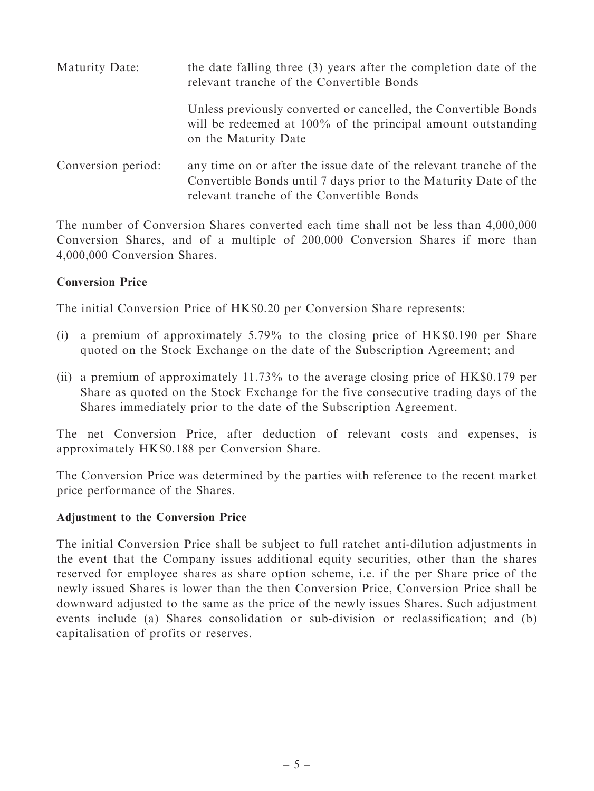| Maturity Date:     | the date falling three (3) years after the completion date of the<br>relevant tranche of the Convertible Bonds                                                                      |
|--------------------|-------------------------------------------------------------------------------------------------------------------------------------------------------------------------------------|
|                    | Unless previously converted or cancelled, the Convertible Bonds<br>will be redeemed at 100% of the principal amount outstanding<br>on the Maturity Date                             |
| Conversion period: | any time on or after the issue date of the relevant tranche of the<br>Convertible Bonds until 7 days prior to the Maturity Date of the<br>relevant tranche of the Convertible Bonds |

The number of Conversion Shares converted each time shall not be less than 4,000,000 Conversion Shares, and of a multiple of 200,000 Conversion Shares if more than 4,000,000 Conversion Shares.

#### Conversion Price

The initial Conversion Price of HK\$0.20 per Conversion Share represents:

- (i) a premium of approximately 5.79% to the closing price of HK\$0.190 per Share quoted on the Stock Exchange on the date of the Subscription Agreement; and
- (ii) a premium of approximately  $11.73\%$  to the average closing price of HK\$0.179 per Share as quoted on the Stock Exchange for the five consecutive trading days of the Shares immediately prior to the date of the Subscription Agreement.

The net Conversion Price, after deduction of relevant costs and expenses, is approximately HK\$0.188 per Conversion Share.

The Conversion Price was determined by the parties with reference to the recent market price performance of the Shares.

#### Adjustment to the Conversion Price

The initial Conversion Price shall be subject to full ratchet anti-dilution adjustments in the event that the Company issues additional equity securities, other than the shares reserved for employee shares as share option scheme, i.e. if the per Share price of the newly issued Shares is lower than the then Conversion Price, Conversion Price shall be downward adjusted to the same as the price of the newly issues Shares. Such adjustment events include (a) Shares consolidation or sub-division or reclassification; and (b) capitalisation of profits or reserves.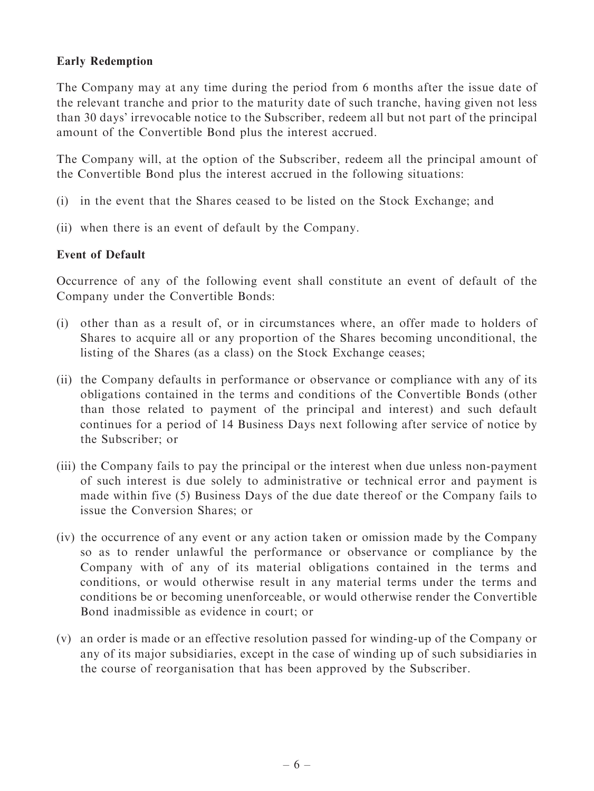#### Early Redemption

The Company may at any time during the period from 6 months after the issue date of the relevant tranche and prior to the maturity date of such tranche, having given not less than 30 days' irrevocable notice to the Subscriber, redeem all but not part of the principal amount of the Convertible Bond plus the interest accrued.

The Company will, at the option of the Subscriber, redeem all the principal amount of the Convertible Bond plus the interest accrued in the following situations:

- (i) in the event that the Shares ceased to be listed on the Stock Exchange; and
- (ii) when there is an event of default by the Company.

#### Event of Default

Occurrence of any of the following event shall constitute an event of default of the Company under the Convertible Bonds:

- (i) other than as a result of, or in circumstances where, an offer made to holders of Shares to acquire all or any proportion of the Shares becoming unconditional, the listing of the Shares (as a class) on the Stock Exchange ceases;
- (ii) the Company defaults in performance or observance or compliance with any of its obligations contained in the terms and conditions of the Convertible Bonds (other than those related to payment of the principal and interest) and such default continues for a period of 14 Business Days next following after service of notice by the Subscriber; or
- (iii) the Company fails to pay the principal or the interest when due unless non-payment of such interest is due solely to administrative or technical error and payment is made within five (5) Business Days of the due date thereof or the Company fails to issue the Conversion Shares; or
- (iv) the occurrence of any event or any action taken or omission made by the Company so as to render unlawful the performance or observance or compliance by the Company with of any of its material obligations contained in the terms and conditions, or would otherwise result in any material terms under the terms and conditions be or becoming unenforceable, or would otherwise render the Convertible Bond inadmissible as evidence in court; or
- (v) an order is made or an effective resolution passed for winding-up of the Company or any of its major subsidiaries, except in the case of winding up of such subsidiaries in the course of reorganisation that has been approved by the Subscriber.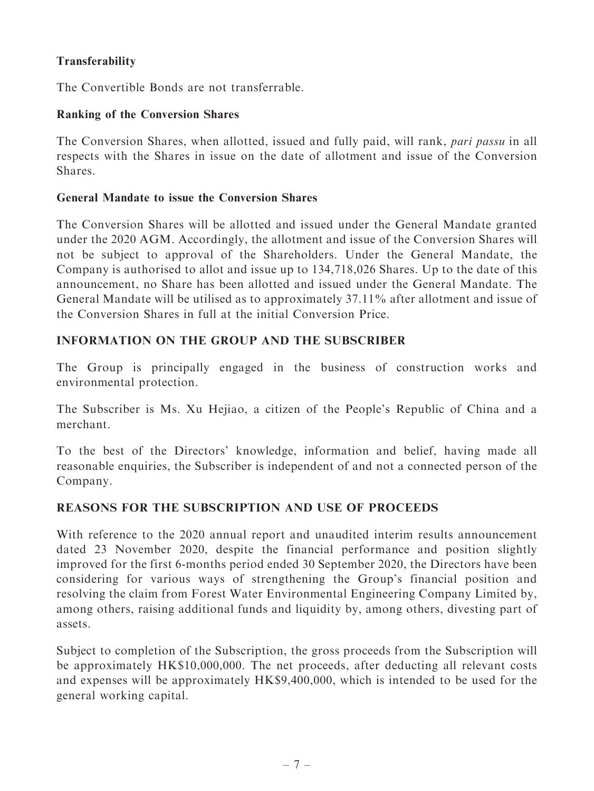# **Transferability**

The Convertible Bonds are not transferrable.

#### Ranking of the Conversion Shares

The Conversion Shares, when allotted, issued and fully paid, will rank, pari passu in all respects with the Shares in issue on the date of allotment and issue of the Conversion Shares.

#### General Mandate to issue the Conversion Shares

The Conversion Shares will be allotted and issued under the General Mandate granted under the 2020 AGM. Accordingly, the allotment and issue of the Conversion Shares will not be subject to approval of the Shareholders. Under the General Mandate, the Company is authorised to allot and issue up to 134,718,026 Shares. Up to the date of this announcement, no Share has been allotted and issued under the General Mandate. The General Mandate will be utilised as to approximately 37.11% after allotment and issue of the Conversion Shares in full at the initial Conversion Price.

# INFORMATION ON THE GROUP AND THE SUBSCRIBER

The Group is principally engaged in the business of construction works and environmental protection.

The Subscriber is Ms. Xu Hejiao, a citizen of the People's Republic of China and a merchant.

To the best of the Directors' knowledge, information and belief, having made all reasonable enquiries, the Subscriber is independent of and not a connected person of the Company.

## REASONS FOR THE SUBSCRIPTION AND USE OF PROCEEDS

With reference to the 2020 annual report and unaudited interim results announcement dated 23 November 2020, despite the financial performance and position slightly improved for the first 6-months period ended 30 September 2020, the Directors have been considering for various ways of strengthening the Group's financial position and resolving the claim from Forest Water Environmental Engineering Company Limited by, among others, raising additional funds and liquidity by, among others, divesting part of assets.

Subject to completion of the Subscription, the gross proceeds from the Subscription will be approximately HK\$10,000,000. The net proceeds, after deducting all relevant costs and expenses will be approximately HK\$9,400,000, which is intended to be used for the general working capital.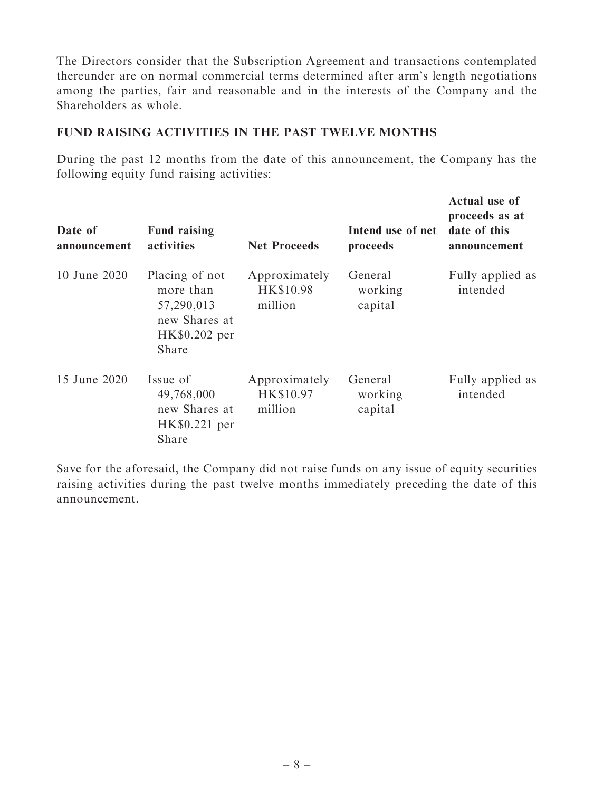The Directors consider that the Subscription Agreement and transactions contemplated thereunder are on normal commercial terms determined after arm's length negotiations among the parties, fair and reasonable and in the interests of the Company and the Shareholders as whole.

#### FUND RAISING ACTIVITIES IN THE PAST TWELVE MONTHS

During the past 12 months from the date of this announcement, the Company has the following equity fund raising activities:

| Date of<br>announcement | <b>Fund raising</b><br>activities                                                    | <b>Net Proceeds</b>                   | Intend use of net<br>proceeds | Actual use of<br>proceeds as at<br>date of this<br>announcement |
|-------------------------|--------------------------------------------------------------------------------------|---------------------------------------|-------------------------------|-----------------------------------------------------------------|
| 10 June 2020            | Placing of not<br>more than<br>57,290,013<br>new Shares at<br>HK\$0.202 per<br>Share | Approximately<br>HK\$10.98<br>million | General<br>working<br>capital | Fully applied as<br>intended                                    |
| 15 June 2020            | Issue of<br>49,768,000<br>new Shares at<br>HK\$0.221 per<br>Share                    | Approximately<br>HK\$10.97<br>million | General<br>working<br>capital | Fully applied as<br>intended                                    |

Save for the aforesaid, the Company did not raise funds on any issue of equity securities raising activities during the past twelve months immediately preceding the date of this announcement.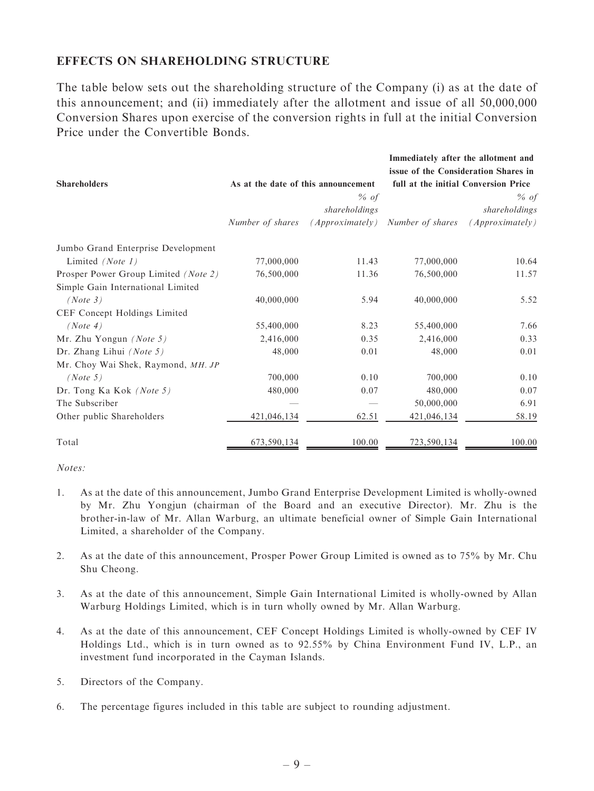#### EFFECTS ON SHAREHOLDING STRUCTURE

The table below sets out the shareholding structure of the Company (i) as at the date of this announcement; and (ii) immediately after the allotment and issue of all 50,000,000 Conversion Shares upon exercise of the conversion rights in full at the initial Conversion Price under the Convertible Bonds.

|                                      |                                     |                 | Immediately after the allotment and<br>issue of the Consideration Shares in |                 |  |
|--------------------------------------|-------------------------------------|-----------------|-----------------------------------------------------------------------------|-----------------|--|
| <b>Shareholders</b>                  | As at the date of this announcement |                 | full at the initial Conversion Price                                        |                 |  |
|                                      |                                     | $%$ of          |                                                                             | $%$ of          |  |
|                                      |                                     | shareholdings   |                                                                             | shareholdings   |  |
|                                      | Number of shares                    | (Approximately) | Number of shares                                                            | (Approximately) |  |
| Jumbo Grand Enterprise Development   |                                     |                 |                                                                             |                 |  |
| Limited (Note 1)                     | 77,000,000                          | 11.43           | 77,000,000                                                                  | 10.64           |  |
| Prosper Power Group Limited (Note 2) | 76,500,000                          | 11.36           | 76,500,000                                                                  | 11.57           |  |
| Simple Gain International Limited    |                                     |                 |                                                                             |                 |  |
| (Note 3)                             | 40,000,000                          | 5.94            | 40,000,000                                                                  | 5.52            |  |
| CEF Concept Holdings Limited         |                                     |                 |                                                                             |                 |  |
| (Note 4)                             | 55,400,000                          | 8.23            | 55,400,000                                                                  | 7.66            |  |
| Mr. Zhu Yongun (Note 5)              | 2,416,000                           | 0.35            | 2,416,000                                                                   | 0.33            |  |
| Dr. Zhang Lihui (Note 5)             | 48,000                              | 0.01            | 48,000                                                                      | 0.01            |  |
| Mr. Choy Wai Shek, Raymond, MH. JP   |                                     |                 |                                                                             |                 |  |
| (Note 5)                             | 700,000                             | 0.10            | 700,000                                                                     | 0.10            |  |
| Dr. Tong Ka Kok (Note 5)             | 480,000                             | 0.07            | 480,000                                                                     | 0.07            |  |
| The Subscriber                       |                                     |                 | 50,000,000                                                                  | 6.91            |  |
| Other public Shareholders            | 421,046,134                         | 62.51           | 421,046,134                                                                 | 58.19           |  |
| Total                                | 673,590,134                         | 100.00          | 723,590,134                                                                 | 100.00          |  |

Notes:

- 1. As at the date of this announcement, Jumbo Grand Enterprise Development Limited is wholly-owned by Mr. Zhu Yongjun (chairman of the Board and an executive Director). Mr. Zhu is the brother-in-law of Mr. Allan Warburg, an ultimate beneficial owner of Simple Gain International Limited, a shareholder of the Company.
- 2. As at the date of this announcement, Prosper Power Group Limited is owned as to 75% by Mr. Chu Shu Cheong.
- 3. As at the date of this announcement, Simple Gain International Limited is wholly-owned by Allan Warburg Holdings Limited, which is in turn wholly owned by Mr. Allan Warburg.
- 4. As at the date of this announcement, CEF Concept Holdings Limited is wholly-owned by CEF IV Holdings Ltd., which is in turn owned as to 92.55% by China Environment Fund IV, L.P., an investment fund incorporated in the Cayman Islands.
- 5. Directors of the Company.
- 6. The percentage figures included in this table are subject to rounding adjustment.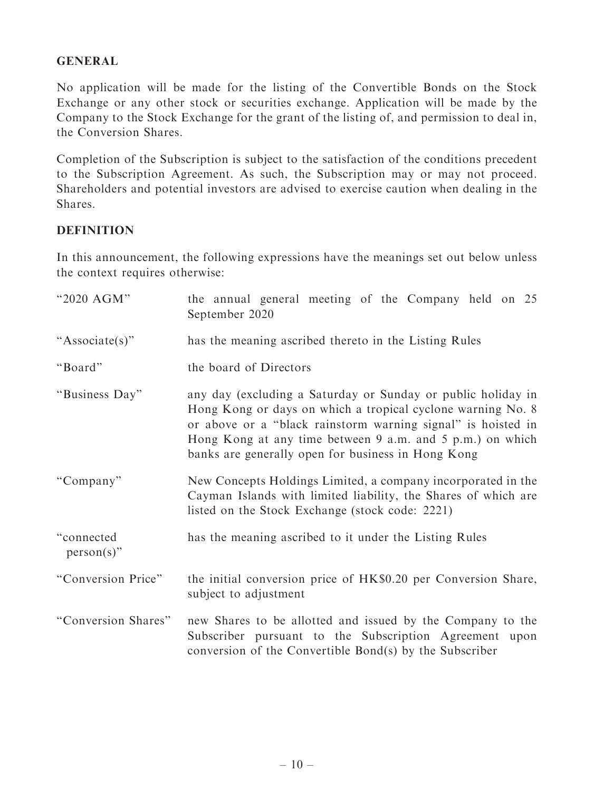#### GENERAL

No application will be made for the listing of the Convertible Bonds on the Stock Exchange or any other stock or securities exchange. Application will be made by the Company to the Stock Exchange for the grant of the listing of, and permission to deal in, the Conversion Shares.

Completion of the Subscription is subject to the satisfaction of the conditions precedent to the Subscription Agreement. As such, the Subscription may or may not proceed. Shareholders and potential investors are advised to exercise caution when dealing in the Shares.

#### **DEFINITION**

In this announcement, the following expressions have the meanings set out below unless the context requires otherwise:

| "2020 AGM"                  | the annual general meeting of the Company held on 25<br>September 2020                                                                                                                                                                                                                                         |  |  |
|-----------------------------|----------------------------------------------------------------------------------------------------------------------------------------------------------------------------------------------------------------------------------------------------------------------------------------------------------------|--|--|
| "Associate(s)"              | has the meaning ascribed thereto in the Listing Rules                                                                                                                                                                                                                                                          |  |  |
| "Board"                     | the board of Directors                                                                                                                                                                                                                                                                                         |  |  |
| "Business Day"              | any day (excluding a Saturday or Sunday or public holiday in<br>Hong Kong or days on which a tropical cyclone warning No. 8<br>or above or a "black rainstorm warning signal" is hoisted in<br>Hong Kong at any time between 9 a.m. and 5 p.m.) on which<br>banks are generally open for business in Hong Kong |  |  |
| "Company"                   | New Concepts Holdings Limited, a company incorporated in the<br>Cayman Islands with limited liability, the Shares of which are<br>listed on the Stock Exchange (stock code: 2221)                                                                                                                              |  |  |
| "connected<br>$person(s)$ " | has the meaning ascribed to it under the Listing Rules                                                                                                                                                                                                                                                         |  |  |
| "Conversion Price"          | the initial conversion price of HK\$0.20 per Conversion Share,<br>subject to adjustment                                                                                                                                                                                                                        |  |  |
| "Conversion Shares"         | new Shares to be allotted and issued by the Company to the<br>Subscriber pursuant to the Subscription Agreement upon<br>conversion of the Convertible Bond(s) by the Subscriber                                                                                                                                |  |  |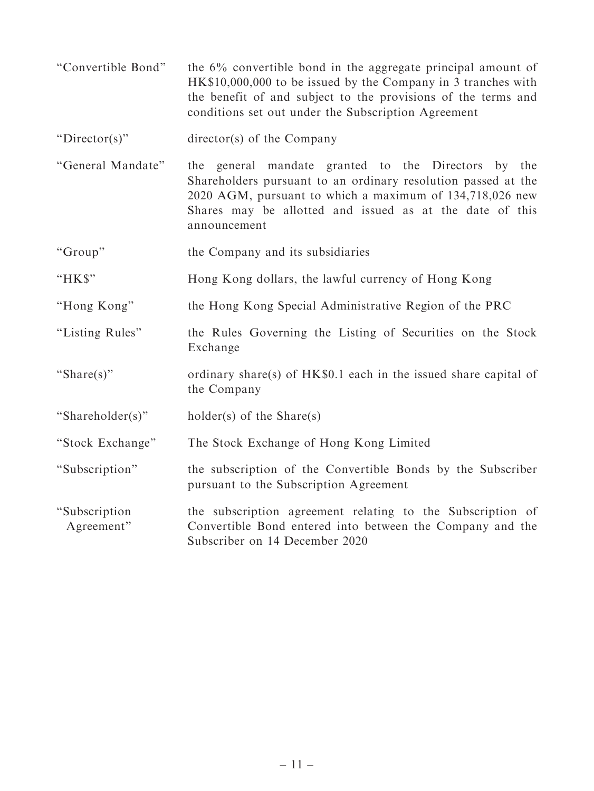''Convertible Bond'' the 6% convertible bond in the aggregate principal amount of HK\$10,000,000 to be issued by the Company in 3 tranches with the benefit of and subject to the provisions of the terms and conditions set out under the Subscription Agreement

"Director(s)" director(s) of the Company

- ''General Mandate'' the general mandate granted to the Directors by the Shareholders pursuant to an ordinary resolution passed at the 2020 AGM, pursuant to which a maximum of 134,718,026 new Shares may be allotted and issued as at the date of this announcement
- ''Group'' the Company and its subsidiaries
- "HK\$" Hong Kong dollars, the lawful currency of Hong Kong
- ''Hong Kong'' the Hong Kong Special Administrative Region of the PRC
- "Listing Rules" the Rules Governing the Listing of Securities on the Stock Exchange
- "Share(s)" ordinary share(s) of HK\$0.1 each in the issued share capital of the Company
- ''Shareholder(s)'' holder(s) of the Share(s)
- ''Stock Exchange'' The Stock Exchange of Hong Kong Limited
- "Subscription" the subscription of the Convertible Bonds by the Subscriber pursuant to the Subscription Agreement

''Subscription Agreement'' the subscription agreement relating to the Subscription of Convertible Bond entered into between the Company and the Subscriber on 14 December 2020